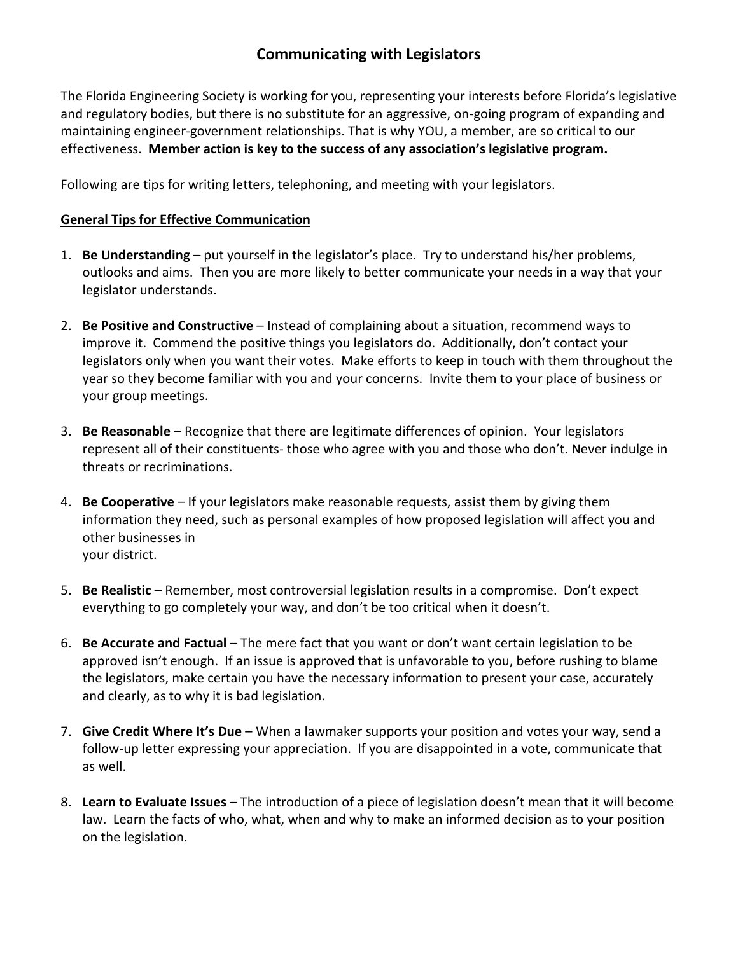The Florida Engineering Society is working for you, representing your interests before Florida's legislative and regulatory bodies, but there is no substitute for an aggressive, on-going program of expanding and maintaining engineer-government relationships. That is why YOU, a member, are so critical to our effectiveness. **Member action is key to the success of any association's legislative program.**

Following are tips for writing letters, telephoning, and meeting with your legislators.

#### **General Tips for Effective Communication**

- 1. **Be Understanding** put yourself in the legislator's place. Try to understand his/her problems, outlooks and aims. Then you are more likely to better communicate your needs in a way that your legislator understands.
- 2. **Be Positive and Constructive** Instead of complaining about a situation, recommend ways to improve it. Commend the positive things you legislators do. Additionally, don't contact your legislators only when you want their votes. Make efforts to keep in touch with them throughout the year so they become familiar with you and your concerns. Invite them to your place of business or your group meetings.
- 3. **Be Reasonable** Recognize that there are legitimate differences of opinion. Your legislators represent all of their constituents- those who agree with you and those who don't. Never indulge in threats or recriminations.
- 4. **Be Cooperative** If your legislators make reasonable requests, assist them by giving them information they need, such as personal examples of how proposed legislation will affect you and other businesses in your district.
- 5. **Be Realistic** Remember, most controversial legislation results in a compromise. Don't expect everything to go completely your way, and don't be too critical when it doesn't.
- 6. **Be Accurate and Factual** The mere fact that you want or don't want certain legislation to be approved isn't enough. If an issue is approved that is unfavorable to you, before rushing to blame the legislators, make certain you have the necessary information to present your case, accurately and clearly, as to why it is bad legislation.
- 7. **Give Credit Where It's Due** When a lawmaker supports your position and votes your way, send a follow-up letter expressing your appreciation. If you are disappointed in a vote, communicate that as well.
- 8. **Learn to Evaluate Issues** The introduction of a piece of legislation doesn't mean that it will become law. Learn the facts of who, what, when and why to make an informed decision as to your position on the legislation.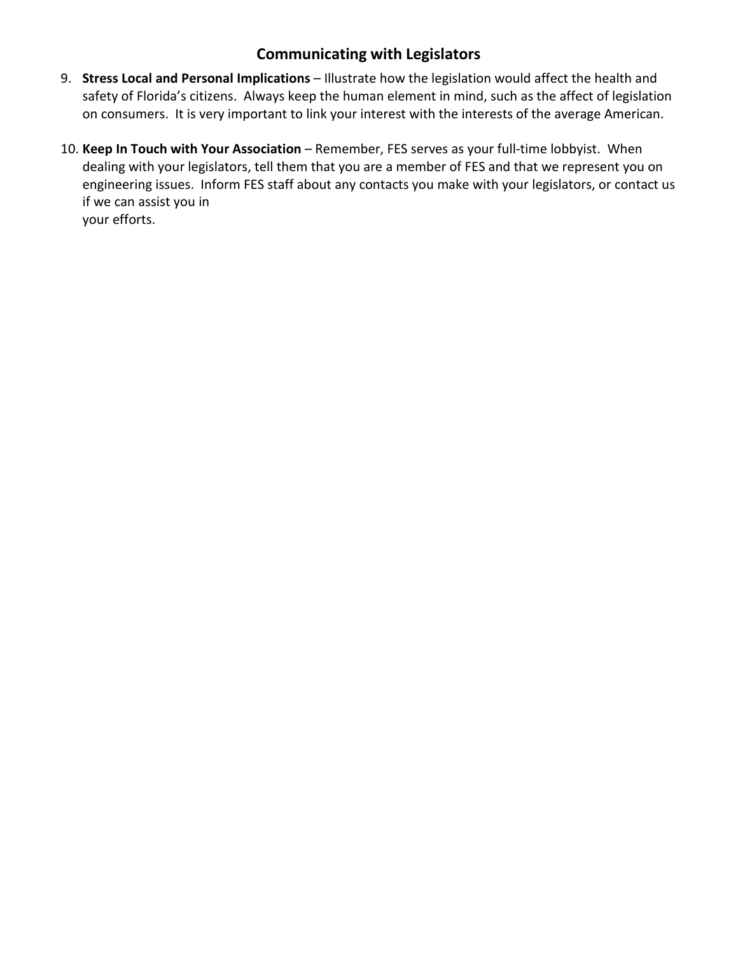- 9. **Stress Local and Personal Implications** Illustrate how the legislation would affect the health and safety of Florida's citizens. Always keep the human element in mind, such as the affect of legislation on consumers. It is very important to link your interest with the interests of the average American.
- 10. **Keep In Touch with Your Association** Remember, FES serves as your full-time lobbyist. When dealing with your legislators, tell them that you are a member of FES and that we represent you on engineering issues. Inform FES staff about any contacts you make with your legislators, or contact us if we can assist you in your efforts.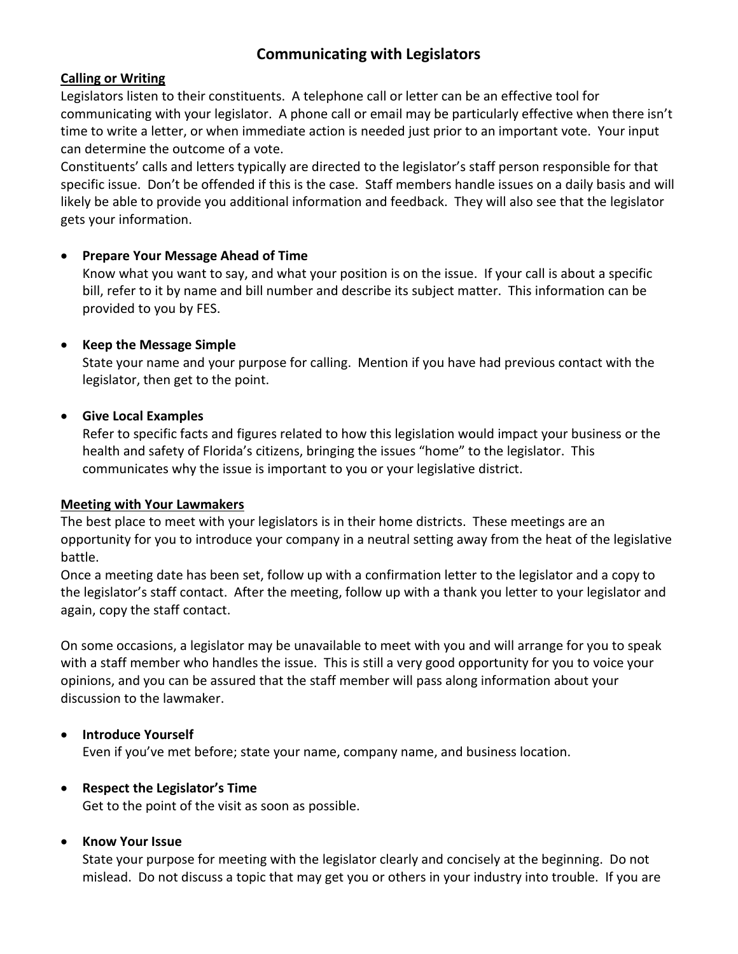### **Calling or Writing**

Legislators listen to their constituents. A telephone call or letter can be an effective tool for communicating with your legislator. A phone call or email may be particularly effective when there isn't time to write a letter, or when immediate action is needed just prior to an important vote. Your input can determine the outcome of a vote.

Constituents' calls and letters typically are directed to the legislator's staff person responsible for that specific issue. Don't be offended if this is the case. Staff members handle issues on a daily basis and will likely be able to provide you additional information and feedback. They will also see that the legislator gets your information.

## • **Prepare Your Message Ahead of Time**

Know what you want to say, and what your position is on the issue. If your call is about a specific bill, refer to it by name and bill number and describe its subject matter. This information can be provided to you by FES.

## • **Keep the Message Simple**

State your name and your purpose for calling. Mention if you have had previous contact with the legislator, then get to the point.

## • **Give Local Examples**

Refer to specific facts and figures related to how this legislation would impact your business or the health and safety of Florida's citizens, bringing the issues "home" to the legislator. This communicates why the issue is important to you or your legislative district.

### **Meeting with Your Lawmakers**

The best place to meet with your legislators is in their home districts. These meetings are an opportunity for you to introduce your company in a neutral setting away from the heat of the legislative battle.

Once a meeting date has been set, follow up with a confirmation letter to the legislator and a copy to the legislator's staff contact. After the meeting, follow up with a thank you letter to your legislator and again, copy the staff contact.

On some occasions, a legislator may be unavailable to meet with you and will arrange for you to speak with a staff member who handles the issue. This is still a very good opportunity for you to voice your opinions, and you can be assured that the staff member will pass along information about your discussion to the lawmaker.

## • **Introduce Yourself**

Even if you've met before; state your name, company name, and business location.

## • **Respect the Legislator's Time**

Get to the point of the visit as soon as possible.

### • **Know Your Issue**

State your purpose for meeting with the legislator clearly and concisely at the beginning. Do not mislead. Do not discuss a topic that may get you or others in your industry into trouble. If you are